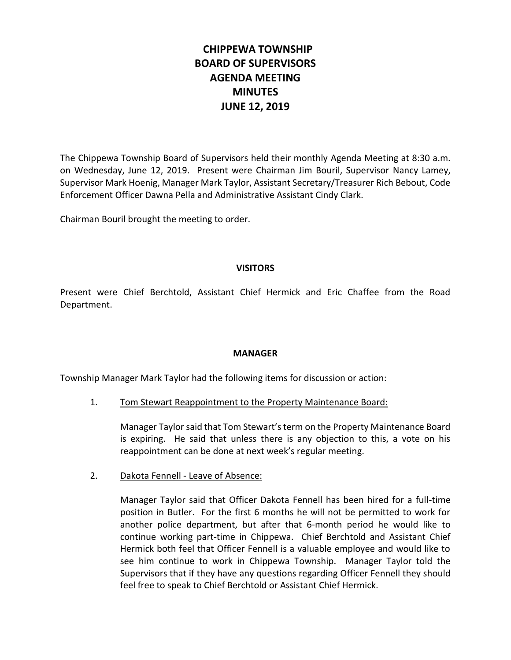# **CHIPPEWA TOWNSHIP BOARD OF SUPERVISORS AGENDA MEETING MINUTES JUNE 12, 2019**

The Chippewa Township Board of Supervisors held their monthly Agenda Meeting at 8:30 a.m. on Wednesday, June 12, 2019. Present were Chairman Jim Bouril, Supervisor Nancy Lamey, Supervisor Mark Hoenig, Manager Mark Taylor, Assistant Secretary/Treasurer Rich Bebout, Code Enforcement Officer Dawna Pella and Administrative Assistant Cindy Clark.

Chairman Bouril brought the meeting to order.

### **VISITORS**

Present were Chief Berchtold, Assistant Chief Hermick and Eric Chaffee from the Road Department.

### **MANAGER**

Township Manager Mark Taylor had the following items for discussion or action:

1. Tom Stewart Reappointment to the Property Maintenance Board:

Manager Taylor said that Tom Stewart's term on the Property Maintenance Board is expiring. He said that unless there is any objection to this, a vote on his reappointment can be done at next week's regular meeting.

2. Dakota Fennell - Leave of Absence:

Manager Taylor said that Officer Dakota Fennell has been hired for a full-time position in Butler. For the first 6 months he will not be permitted to work for another police department, but after that 6-month period he would like to continue working part-time in Chippewa. Chief Berchtold and Assistant Chief Hermick both feel that Officer Fennell is a valuable employee and would like to see him continue to work in Chippewa Township. Manager Taylor told the Supervisors that if they have any questions regarding Officer Fennell they should feel free to speak to Chief Berchtold or Assistant Chief Hermick.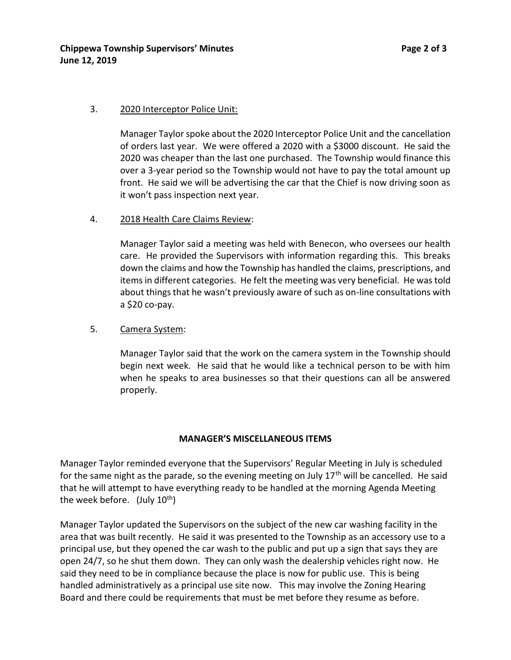### 3. 2020 Interceptor Police Unit:

Manager Taylor spoke about the 2020 Interceptor Police Unit and the cancellation of orders last year. We were offered a 2020 with a \$3000 discount. He said the 2020 was cheaper than the last one purchased. The Township would finance this over a 3-year period so the Township would not have to pay the total amount up front. He said we will be advertising the car that the Chief is now driving soon as it won't pass inspection next year.

### 4. 2018 Health Care Claims Review:

Manager Taylor said a meeting was held with Benecon, who oversees our health care. He provided the Supervisors with information regarding this. This breaks down the claims and how the Township has handled the claims, prescriptions, and items in different categories. He felt the meeting was very beneficial. He was told about things that he wasn't previously aware of such as on-line consultations with a \$20 co-pay.

### 5. Camera System:

Manager Taylor said that the work on the camera system in the Township should begin next week. He said that he would like a technical person to be with him when he speaks to area businesses so that their questions can all be answered properly.

#### **MANAGER'S MISCELLANEOUS ITEMS**

Manager Taylor reminded everyone that the Supervisors' Regular Meeting in July is scheduled for the same night as the parade, so the evening meeting on July  $17<sup>th</sup>$  will be cancelled. He said that he will attempt to have everything ready to be handled at the morning Agenda Meeting the week before. (July  $10^{th}$ )

Manager Taylor updated the Supervisors on the subject of the new car washing facility in the area that was built recently. He said it was presented to the Township as an accessory use to a principal use, but they opened the car wash to the public and put up a sign that says they are open 24/7, so he shut them down. They can only wash the dealership vehicles right now. He said they need to be in compliance because the place is now for public use. This is being handled administratively as a principal use site now. This may involve the Zoning Hearing Board and there could be requirements that must be met before they resume as before.